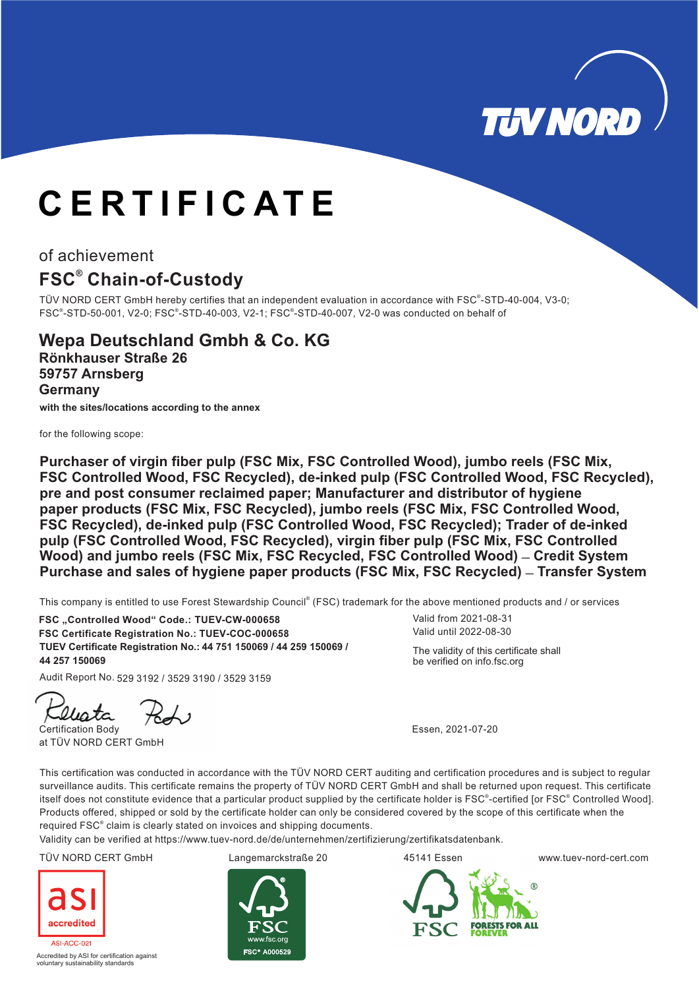

# **CERTIFICATE**

## of achievement

# **FSC Chain-of-Custody ®**

TÜV NORD CERT GmbH hereby certifies that an independent evaluation in accordance with FSC®-STD-40-004, V3-0; FSC®-STD-50-001, V2-0; FSC®-STD-40-003, V2-1; FSC®-STD-40-007, V2-0 was conducted on behalf of

## **Wepa Deutschland Gmbh & Co. KG Rönkhauser Straße 26 59757 Arnsberg Germany**

**with the sites/locations according to the annex**

for the following scope:

**Purchaser of virgin fiber pulp (FSC Mix, FSC Controlled Wood), jumbo reels (FSC Mix, FSC Controlled Wood, FSC Recycled), de-inked pulp (FSC Controlled Wood, FSC Recycled), pre and post consumer reclaimed paper; Manufacturer and distributor of hygiene paper products (FSC Mix, FSC Recycled), jumbo reels (FSC Mix, FSC Controlled Wood, FSC Recycled), de-inked pulp (FSC Controlled Wood, FSC Recycled); Trader of de-inked pulp (FSC Controlled Wood, FSC Recycled), virgin fiber pulp (FSC Mix, FSC Controlled** Wood) and jumbo reels (FSC Mix, FSC Recycled, FSC Controlled Wood) - Credit System Purchase and sales of hygiene paper products (FSC Mix, FSC Recycled) – Transfer System

This company is entitled to use Forest Stewardship Council® (FSC) trademark for the above mentioned products and / or services

**TUEV Certificate Registration No.: 44 150069 9 150069 751 / 44 25 / FSC Certificate Registration No.: TUEV-COC-000658** FSC "Controlled Wood" Code.: TUEV-CW-000658 **44 257 150069**

Audit Report No. 529 3192 / 3529 3190 / 3529 3159

llista

Certification Body at TÜV NORD CERT GmbH

Valid until 2022-08-30 Valid from 2021-08-31

The validity of this certificate shall be verified on info.fsc.org

Essen, 2021-07-20

This certification was conducted in accordance with the TÜV NORD CERT auditing and certification procedures and is subject to regular surveillance audits. This certificate remains the property of TÜV NORD CERT GmbH and shall be returned upon request. This certificate itself does not constitute evidence that a particular product supplied by the certificate holder is FSC®-certified [or FSC® Controlled Wood]. Products offered, shipped or sold by the certificate holder can only be considered covered by the scope of this certificate when the required FSC<sup>®</sup> claim is clearly stated on invoices and shipping documents.

Validity can be verified at https://www.tuev-nord.de/de/unternehmen/zertifizierung/zertifikatsdatenbank.



Accredited by ASI for certification against voluntary sustainability standards



TÜV NORD CERT GmbH Langemarckstraße 20 45141 Essen www.tuev-nord-cert.com



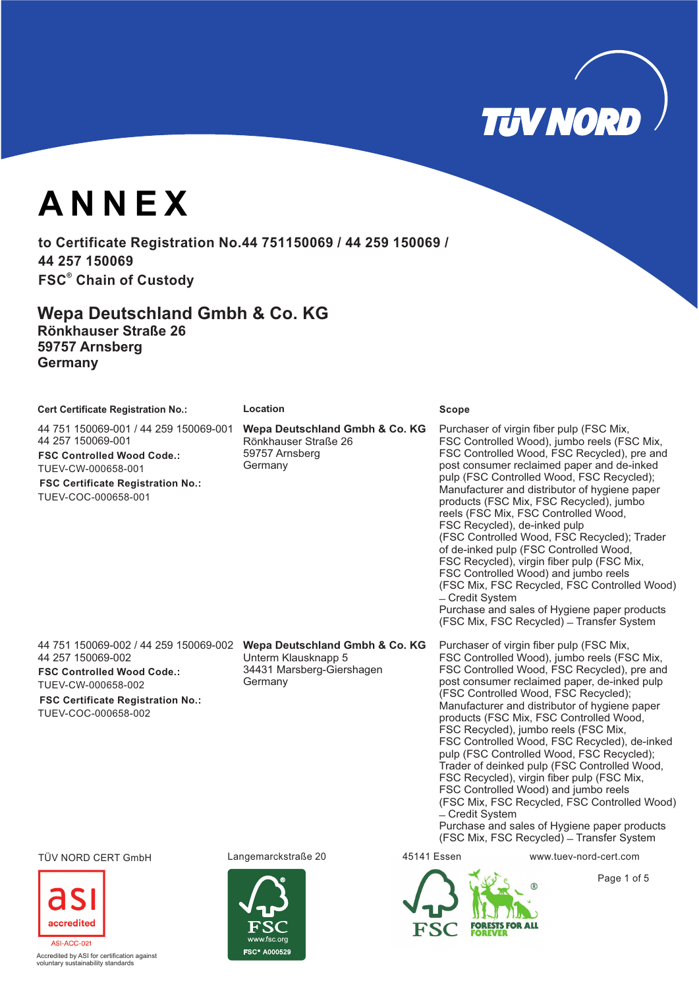**TUV NORD** 

**ANNEX**

to Certificate Registration No.44 751150069 / 44 259 150069 / **44 257 150069 FSC Chain of Custody ®**

**Wepa Deutschland Gmbh & Co. KG Rönkhauser Straße 26 59757 Arnsberg Germany**

| <b>Cert Certificate Registration No.:</b> | Location | <b>Scope</b> |
|-------------------------------------------|----------|--------------|
|-------------------------------------------|----------|--------------|

44 751 150069-001 / 44 259 150069-001 44 257 150069-001

**FSC Controlled Wood Code.:** TUEV-CW-000658-001

**FSC Certificate Registration No.:** TUEV-COC-000658-001

**Wepa Deutschland Gmbh & Co. KG** Rönkhauser Straße 26 59757 Arnsberg **Germany** 

Purchaser of virgin fiber pulp (FSC Mix, FSC Controlled Wood), jumbo reels (FSC Mix, FSC Controlled Wood, FSC Recycled), pre and post consumer reclaimed paper and de-inked pulp (FSC Controlled Wood, FSC Recycled); Manufacturer and distributor of hygiene paper products (FSC Mix, FSC Recycled), jumbo reels (FSC Mix, FSC Controlled Wood, FSC Recycled), de-inked pulp (FSC Controlled Wood, FSC Recycled); Trader of de-inked pulp (FSC Controlled Wood, FSC Recycled), virgin fiber pulp (FSC Mix, FSC Controlled Wood) and jumbo reels (FSC Mix, FSC Recycled, FSC Controlled Wood) ̶Credit System Purchase and sales of Hygiene paper products (FSC Mix, FSC Recycled) - Transfer System

44 751 150069-002 / 44 259 150069-002 **Wepa Deutschland Gmbh & Co. KG** 44 257 150069-002 **FSC Controlled Wood Code.:** TUEV-CW-000658-002

**FSC Certificate Registration No.:**

TUEV-COC-000658-002

Unterm Klausknapp 5 34431 Marsberg-Giershagen Purchaser of virgin fiber pulp (FSC Mix, FSC Controlled Wood), jumbo reels (FSC Mix, FSC Controlled Wood, FSC Recycled), pre and post consumer reclaimed paper, de-inked pulp (FSC Controlled Wood, FSC Recycled); Manufacturer and distributor of hygiene paper products (FSC Mix, FSC Controlled Wood, FSC Recycled), jumbo reels (FSC Mix, FSC Controlled Wood, FSC Recycled), de-inked pulp (FSC Controlled Wood, FSC Recycled); Trader of deinked pulp (FSC Controlled Wood, FSC Recycled), virgin fiber pulp (FSC Mix, FSC Controlled Wood) and jumbo reels (FSC Mix, FSC Recycled, FSC Controlled Wood) ̶Credit System

Purchase and sales of Hygiene paper products (FSC Mix, FSC Recycled) - Transfer System

TÜV NORD CERT GmbH Langemarckstraße 20 45141 Essen www.tuev-nord-cert.com



**Accredited by ASI for certification against** voluntary sustainability standards

Germany





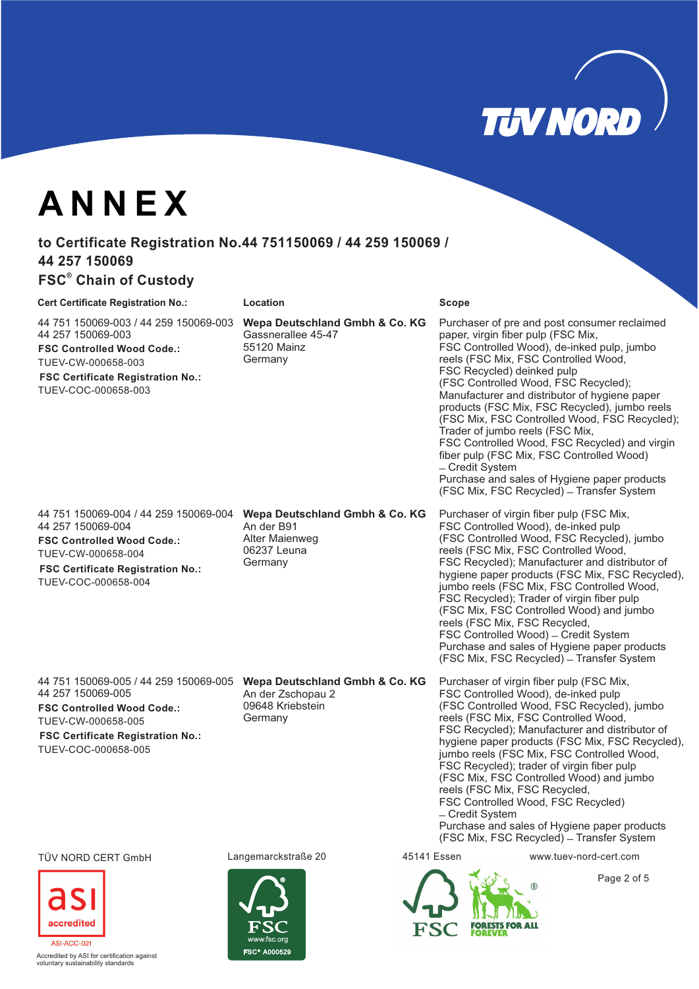

Purchaser of pre and post consumer reclaimed

FSC Controlled Wood), de-inked pulp, jumbo reels (FSC Mix, FSC Controlled Wood,

FSC Controlled Wood, FSC Recycled) and virgin fiber pulp (FSC Mix, FSC Controlled Wood)

Purchase and sales of Hygiene paper products (FSC Mix, FSC Recycled) – Transfer System

(FSC Controlled Wood, FSC Recycled), jumbo reels (FSC Mix, FSC Controlled Wood,

FSC Recycled); Manufacturer and distributor of hygiene paper products (FSC Mix, FSC Recycled), jumbo reels (FSC Mix, FSC Controlled Wood, FSC Recycled); Trader of virgin fiber pulp (FSC Mix, FSC Controlled Wood) and jumbo

Purchaser of virgin fiber pulp (FSC Mix, FSC Controlled Wood), de-inked pulp

(FSC Controlled Wood, FSC Recycled); Manufacturer and distributor of hygiene paper products (FSC Mix, FSC Recycled), jumbo reels (FSC Mix, FSC Controlled Wood, FSC Recycled);

paper, virgin fiber pulp (FSC Mix,

Trader of jumbo reels (FSC Mix,

reels (FSC Mix, FSC Recycled,

FSC Controlled Wood) – Credit System Purchase and sales of Hygiene paper products (FSC Mix, FSC Recycled) – Transfer System

̶Credit System

FSC Recycled) deinked pulp

# **ANNEX**

# to Certificate Registration No.44 751150069 / 44 259 150069 / **44 257 150069**

# **FSC<sup>®</sup> Chain of Custody**

### **Cert Certificate Registration No.: Location Scope**

44 751 150069-003 / 44 259 150069-003 44 257 150069-003 **FSC Controlled Wood Code.:** TUEV-CW-000658-003

**FSC Certificate Registration No.:** TUEV-COC-000658-003

44 751 150069-004 / 44 259 150069-004 44 257 150069-004 **FSC Controlled Wood Code.:** TUEV-CW-000658-004

**FSC Certificate Registration No.:** TUEV-COC-000658-004

44 751 150069-005 / 44 259 150069-005 Wepa Deutschland Gmbh & Co. KG 44 257 150069-005

**FSC Controlled Wood Code.:** TUEV-CW-000658-005

**FSC Certificate Registration No.:** TUEV-COC-000658-005

### **Wepa Deutschland Gmbh & Co. KG** An der B91

**Wepa Deutschland Gmbh & Co. KG**

Gassnerallee 45-47 55120 Mainz **Germany** 

Alter Maienweg 06237 Leuna Germany

An der Zschopau 2 09648 Kriebstein Germany

Purchaser of virgin fiber pulp (FSC Mix, FSC Controlled Wood), de-inked pulp (FSC Controlled Wood, FSC Recycled), jumbo reels (FSC Mix, FSC Controlled Wood, FSC Recycled); Manufacturer and distributor of hygiene paper products (FSC Mix, FSC Recycled), jumbo reels (FSC Mix, FSC Controlled Wood, FSC Recycled); trader of virgin fiber pulp (FSC Mix, FSC Controlled Wood) and jumbo reels (FSC Mix, FSC Recycled, FSC Controlled Wood, FSC Recycled) ̶Credit System

Purchase and sales of Hygiene paper products (FSC Mix, FSC Recycled) - Transfer System

### TÜV NORD CERT GmbH Langemarckstraße 20 45141 Essen www.tuev-nord-cert.com



.<br>Ccredited by ASI for certification against voluntary sustainability standards

COOR ANNAE



Page 2 of 5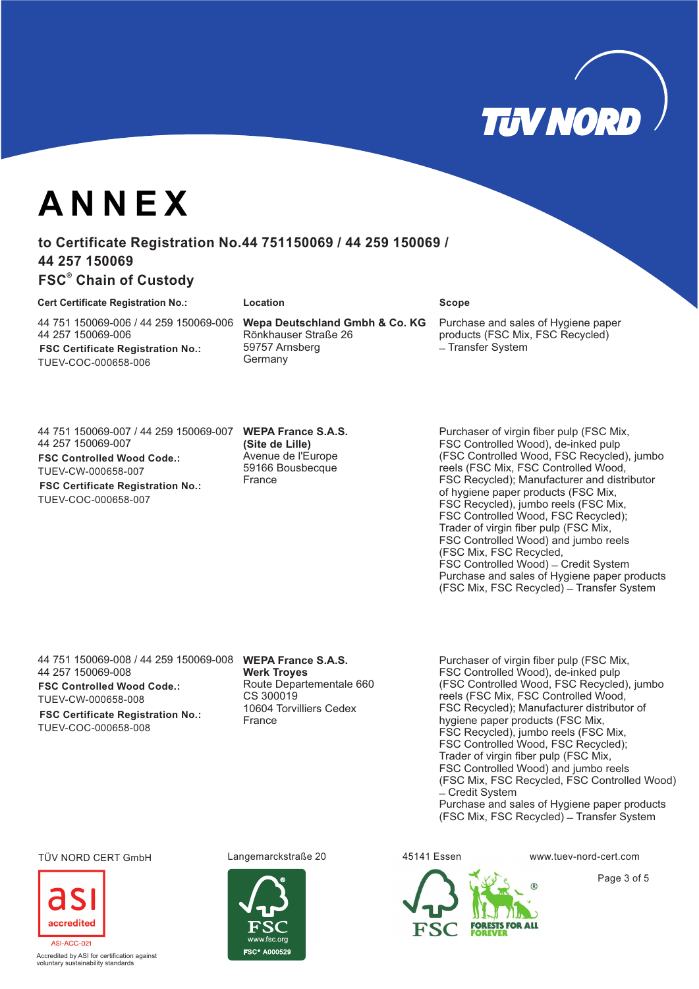

# **ANNEX**

# to Certificate Registration No.44 751150069 / 44 259 150069 / **44 257 150069**

## **FSC Chain of Custody ®**

#### **Cert Certificate Registration No.: Location Scope**

44 751 150069-006 / 44 259 150069-006 44 257 150069-006 **FSC Certificate Registration No.:** TUEV-COC-000658-006

**Wepa Deutschland Gmbh & Co. KG** Rönkhauser Straße 26 59757 Arnsberg **Germany** 

Purchase and sales of Hygiene paper products (FSC Mix, FSC Recycled) - Transfer System

44 751 150069-007 / 44 259 150069-007 44 257 150069-007 **FSC Controlled Wood Code.:**

TUEV-CW-000658-007 **FSC Certificate Registration No.:**

TUEV-COC-000658-007

#### **WEPA France S.A.S. (Site de Lille)** Avenue de l'Europe 59166 Bousbecque France

Purchaser of virgin fiber pulp (FSC Mix, FSC Controlled Wood), de-inked pulp (FSC Controlled Wood, FSC Recycled), jumbo reels (FSC Mix, FSC Controlled Wood, FSC Recycled); Manufacturer and distributor of hygiene paper products (FSC Mix, FSC Recycled), jumbo reels (FSC Mix, FSC Controlled Wood, FSC Recycled); Trader of virgin fiber pulp (FSC Mix, FSC Controlled Wood) and jumbo reels (FSC Mix, FSC Recycled, FSC Controlled Wood) - Credit System Purchase and sales of Hygiene paper products (FSC Mix, FSC Recycled) – Transfer System

**WEPA France S.A.S.** 44 751 150069-008 / 44 259 150069-008 44 257 150069-008

**FSC Controlled Wood Code.:** TUEV-CW-000658-008

**FSC Certificate Registration No.:** TUEV-COC-000658-008

**Werk Troyes** Route Departementale 660 CS 300019 10604 Torvilliers Cedex France

Purchaser of virgin fiber pulp (FSC Mix, FSC Controlled Wood), de-inked pulp (FSC Controlled Wood, FSC Recycled), jumbo reels (FSC Mix, FSC Controlled Wood, FSC Recycled); Manufacturer distributor of hygiene paper products (FSC Mix, FSC Recycled), jumbo reels (FSC Mix, FSC Controlled Wood, FSC Recycled); Trader of virgin fiber pulp (FSC Mix, FSC Controlled Wood) and jumbo reels (FSC Mix, FSC Recycled, FSC Controlled Wood)  $\angle$  Credit System Purchase and sales of Hygiene paper products (FSC Mix, FSC Recycled) ̶Transfer System

### TÜV NORD CERT GmbH Langemarckstraße 20 45141 Essen www.tuev-nord-cert.com



Accredited by ASI for certification against voluntary sustainability standards







Page 3 of 5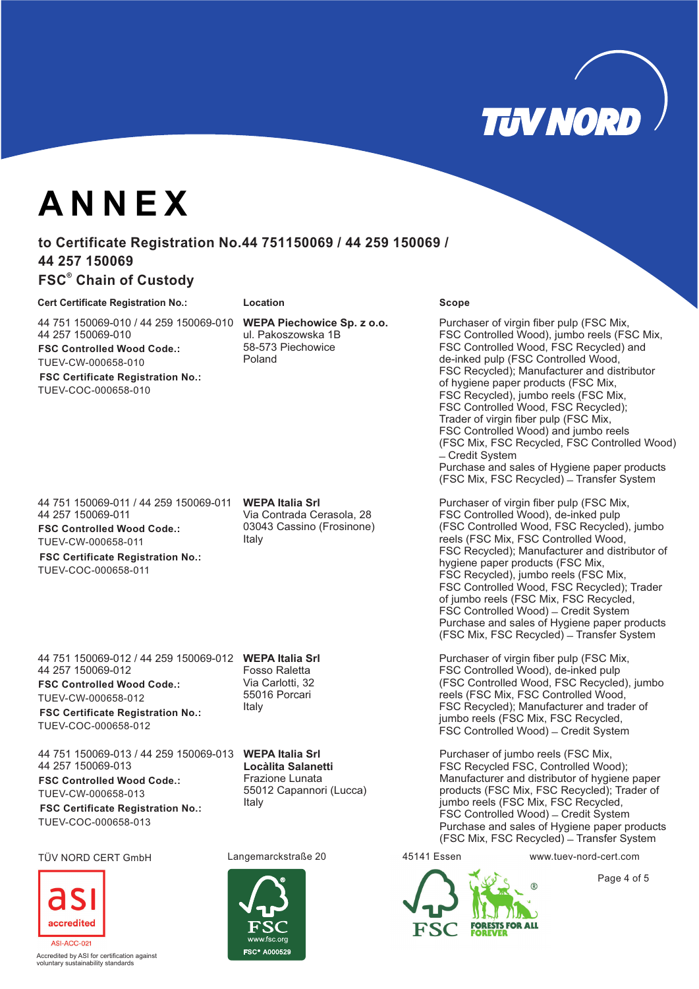

# **ANNEX**

# to Certificate Registration No.44 751150069 / 44 259 150069 / **44 257 150069**

## **FSC Chain of Custody ®**

#### **Cert Certificate Registration No.: Location Scope**

44 751 150069-010 / 44 259 150069-010 44 257 150069-010 **FSC Controlled Wood Code.:** TUEV-CW-000658-010

**FSC Certificate Registration No.:** TUEV-COC-000658-010

44 751 150069-011 / 44 259 150069-011 44 257 150069-011

**FSC Controlled Wood Code.:** TUEV-CW-000658-011

**FSC Certificate Registration No.:** TUEV-COC-000658-011

**WEPA Italia Srl** 44 751 150069-012 / 44 259 150069-012 44 257 150069-012

**FSC Controlled Wood Code.:** TUEV-CW-000658-012

**FSC Certificate Registration No.:** TUEV-COC-000658-012

**WEPA Italia Srl** 44 751 150069-013 / 44 259 150069-013 44 257 150069-013 **FSC Controlled Wood Code.:** TUEV-CW-000658-013

**FSC Certificate Registration No.:** TUEV-COC-000658-013

### TÜV NORD CERT GmbH Langemarckstraße 20 45141 Essen www.tuev-nord-cert.com



.<br>Ccredited by ASI for certification against voluntary sustainability standards

**WEPA Piechowice Sp. z o.o.** ul. Pakoszowska 1B 58-573 Piechowice Poland

**WEPA Italia Srl** Via Contrada Cerasola, 28 03043 Cassino (Frosinone) Italy

Fosso Raletta Via Carlotti, 32 55016 Porcari Italy

**Locàlita Salanetti** Frazione Lunata 55012 Capannori (Lucca) Italy



Purchaser of virgin fiber pulp (FSC Mix, FSC Controlled Wood), jumbo reels (FSC Mix, FSC Controlled Wood, FSC Recycled) and de-inked pulp (FSC Controlled Wood, FSC Recycled); Manufacturer and distributor of hygiene paper products (FSC Mix, FSC Recycled), jumbo reels (FSC Mix, FSC Controlled Wood, FSC Recycled); Trader of virgin fiber pulp (FSC Mix, FSC Controlled Wood) and jumbo reels (FSC Mix, FSC Recycled, FSC Controlled Wood) ̶Credit System Purchase and sales of Hygiene paper products (FSC Mix, FSC Recycled) - Transfer System

Purchaser of virgin fiber pulp (FSC Mix, FSC Controlled Wood), de-inked pulp (FSC Controlled Wood, FSC Recycled), jumbo reels (FSC Mix, FSC Controlled Wood, FSC Recycled); Manufacturer and distributor of hygiene paper products (FSC Mix, FSC Recycled), jumbo reels (FSC Mix, FSC Controlled Wood, FSC Recycled); Trader of jumbo reels (FSC Mix, FSC Recycled, FSC Controlled Wood) – Credit System Purchase and sales of Hygiene paper products (FSC Mix, FSC Recycled) ̶Transfer System

Purchaser of virgin fiber pulp (FSC Mix, FSC Controlled Wood), de-inked pulp (FSC Controlled Wood, FSC Recycled), jumbo reels (FSC Mix, FSC Controlled Wood, FSC Recycled); Manufacturer and trader of jumbo reels (FSC Mix, FSC Recycled, FSC Controlled Wood) – Credit System

Purchaser of jumbo reels (FSC Mix, FSC Recycled FSC, Controlled Wood); Manufacturer and distributor of hygiene paper products (FSC Mix, FSC Recycled); Trader of jumbo reels (FSC Mix, FSC Recycled, FSC Controlled Wood) - Credit System Purchase and sales of Hygiene paper products (FSC Mix, FSC Recycled) - Transfer System



Page 4 of 5